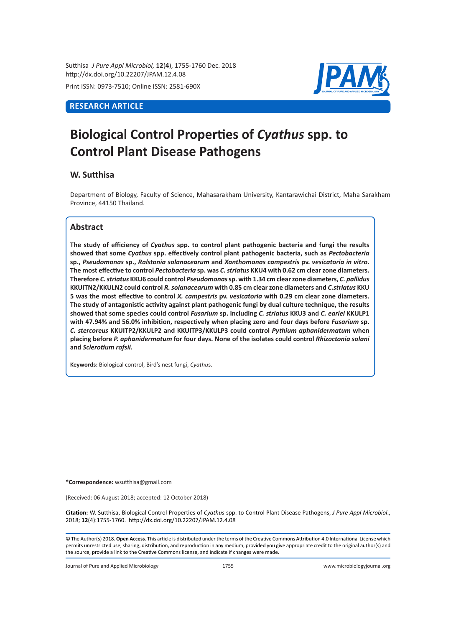Sutthisa *J Pure Appl Microbiol,* **12**(**4**), 1755-1760 Dec. 2018 http://dx.doi.org/10.22207/JPAM.12.4.08

Print ISSN: 0973-7510; Online ISSN: 2581-690X

# **RESEARCH ARTICLE**



# **Biological Control Properties of** *Cyathus* **spp. to Control Plant Disease Pathogens**

# **W. Sutthisa**

Department of Biology, Faculty of Science, Mahasarakham University, Kantarawichai District, Maha Sarakham Province, 44150 Thailand.

# **Abstract**

**The study of efficiency of** *Cyathus* **spp. to control plant pathogenic bacteria and fungi the results showed that some** *Cyathus* **spp. effectively control plant pathogenic bacteria, such as** *Pectobacteria* **sp.,** *Pseudomonas* **sp.,** *Ralstonia solanacearum* **and** *Xanthomonas campestris* **pv.** *vesicatoria in vitro***. The most effective to control** *Pectobacteria* **sp. was** *C. striatus* **KKU4 with 0.62 cm clear zone diameters. Therefore** *C. striatus* **KKU6 could control** *Pseudomonas* **sp. with 1.34 cm clear zone diameters,** *C. pallidus* **KKUITN2/KKULN2 could control** *R. solanacearum* **with 0.85 cm clear zone diameters and** *C.striatus* **KKU 5 was the most effective to control** *X. campestris* **pv.** *vesicatoria* **with 0.29 cm clear zone diameters. The study of antagonistic activity against plant pathogenic fungi by dual culture technique, the results showed that some species could control** *Fusarium* **sp. including** *C. striatus* **KKU3 and** *C. earlei* **KKULP1 with 47.94% and 56.0% inhibition, respectively when placing zero and four days before** *Fusarium* **sp.**  *C. stercoreus* **KKUITP2/KKULP2 and KKUITP3/KKULP3 could control** *Pythium aphanidermatum* **when placing before** *P. aphanidermatum* **for four days. None of the isolates could control** *Rhizoctonia solani* **and** *Sclerotium rofsii***.** 

**Keywords:** Biological control, Bird's nest fungi, *Cyathu*s.

**\*Correspondence:** wsutthisa@gmail.com

(Received: 06 August 2018; accepted: 12 October 2018)

**Citation:** W. Sutthisa, Biological Control Properties of *Cyathus* spp. to Control Plant Disease Pathogens, *J Pure Appl Microbiol*., 2018; **12**(4):1755-1760. http://dx.doi.org/10.22207/JPAM.12.4.08

© The Author(s) 2018. **Open Access**. This article is distributed under the terms of the Creative Commons Attribution 4.0 International License which permits unrestricted use, sharing, distribution, and reproduction in any medium, provided you give appropriate credit to the original author(s) and the source, provide a link to the Creative Commons license, and indicate if changes were made.

Journal of Pure and Applied Microbiology 1755 www.microbiologyjournal.org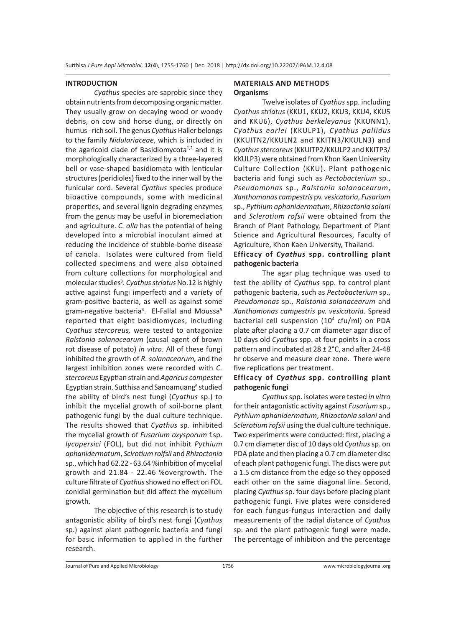#### **INTRODUCTION**

*Cyathus* species are saprobic since they obtain nutrients from decomposing organic matter. They usually grow on decaying wood or woody debris, on cow and horse dung, or directly on humus - rich soil. The genus *Cyathus* Haller belongs to the family *Nidulariaceae*, which is included in the agaricoid clade of Basidiomycota<sup> $1,2$ </sup> and it is morphologically characterized by a three-layered bell or vase-shaped basidiomata with lenticular structures (peridioles) fixed to the inner wall by the funicular cord. Several *Cyathus* species produce bioactive compounds, some with medicinal properties, and several lignin degrading enzymes from the genus may be useful in bioremediation and agriculture. *C. olla* has the potential of being developed into a microbial inoculant aimed at reducing the incidence of stubble-borne disease of canola. Isolates were cultured from field collected specimens and were also obtained from culture collections for morphological and molecular studies<sup>3</sup>. Cyathus striatus No.12 is highly active against fungi imperfecti and a variety of gram-positive bacteria, as well as against some gram-negative bacteria<sup>4</sup>. El-Fallal and Moussa<sup>5</sup> reported that eight basidiomyces, including *Cyathus stercoreus,* were tested to antagonize *Ralstonia solanacearum* (causal agent of brown rot disease of potato) *in vitro*. All of these fungi inhibited the growth of *R. solanacearum,* and the largest inhibition zones were recorded with *C. stercoreus* Egyptian strain and *Agaricus campester* Egyptian strain. Sutthisa and Sanoamuang<sup>6</sup> studied the ability of bird's nest fungi (*Cyathus* sp.) to inhibit the mycelial growth of soil-borne plant pathogenic fungi by the dual culture technique. The results showed that *Cyathus* sp. inhibited the mycelial growth of *Fusarium oxysporum* f.sp. *lycopersici* (FOL), but did not inhibit *Pythium aphanidermatum*, *Sclrotium rolfsii* and *Rhizoctonia* sp., which had 62.22 - 63.64 %inhibition of mycelial growth and 21.84 - 22.46 %overgrowth. The culture filtrate of *Cyathus* showed no effect on FOL conidial germination but did affect the mycelium growth.

The objective of this research is to study antagonistic ability of bird's nest fungi (*Cyathus*  sp.) against plant pathogenic bacteria and fungi for basic information to applied in the further research.

#### **MATERIALS AND METHODS Organisms**

Twelve isolates of *Cyathus* spp. including *Cyathus striatus* (KKU1, KKU2, KKU3, KKU4, KKU5 and KKU6), *Cyathus berkeleyanus* (KKUNN1), *Cyathus earlei* (KKULP1), *Cyathus pallidus* (KKUITN2/KKULN2 and KKITN3/KKULN3) and *Cyathus stercoreus* (KKUITP2/KKULP2 and KKITP3/ KKULP3) were obtained from Khon Kaen University Culture Collection (KKU). Plant pathogenic bacteria and fungi such as *Pectobacterium* sp., *Pseudomonas* sp., *Ralstonia solanacearum*, *Xanthomonas campestris* pv. *vesicatoria*, *Fusarium* sp., *Pythium aphanidermatum*, *Rhizoctonia solani*  and *Sclerotium rofsii* were obtained from the Branch of Plant Pathology, Department of Plant Science and Agricultural Resources, Faculty of Agriculture, Khon Kaen University, Thailand.

## **Efficacy of** *Cyathus* **spp. controlling plant pathogenic bacteria**

The agar plug technique was used to test the ability of *Cyathus* spp. to control plant pathogenic bacteria, such as *Pectobacterium* sp., *Pseudomonas* sp., *Ralstonia solanacearum* and *Xanthomonas campestris* pv. *vesicatoria*. Spread bacterial cell suspension (10<sup>4</sup> cfu/ml) on PDA plate after placing a 0.7 cm diameter agar disc of 10 days old *Cyathus* spp. at four points in a cross pattern and incubated at 28 ± 2°C, and after 24-48 hr observe and measure clear zone. There were five replications per treatment.

# **Efficacy of** *Cyathus* **spp. controlling plant pathogenic fungi**

*Cyathus* spp. isolates were tested *in vitro* for their antagonistic activity against *Fusarium* sp., *Pythium aphanidermatum*, *Rhizoctonia solani* and *Sclerotium rofsii* using the dual culture technique. Two experiments were conducted: first, placing a 0.7 cm diameter disc of 10 days old *Cyathus* sp. on PDA plate and then placing a 0.7 cm diameter disc of each plant pathogenic fungi. The discs were put a 1.5 cm distance from the edge so they opposed each other on the same diagonal line. Second, placing *Cyathus* sp. four days before placing plant pathogenic fungi. Five plates were considered for each fungus-fungus interaction and daily measurements of the radial distance of *Cyathus*  sp. and the plant pathogenic fungi were made. The percentage of inhibition and the percentage

Journal of Pure and Applied Microbiology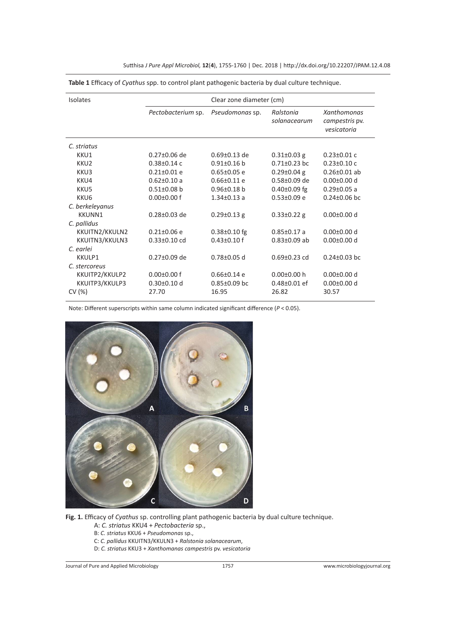| Isolates         | Clear zone diameter (cm) |                    |                           |                                              |  |
|------------------|--------------------------|--------------------|---------------------------|----------------------------------------------|--|
|                  | Pectobacterium sp.       | Pseudomonas sp.    | Ralstonia<br>solanacearum | Xanthomonas<br>campestris pv.<br>vesicatoria |  |
| C. striatus      |                          |                    |                           |                                              |  |
| KKU1             | $0.27 \pm 0.06$ de       | $0.69 \pm 0.13$ de | $0.31 \pm 0.03$ g         | $0.23 \pm 0.01$ c                            |  |
| KKU <sub>2</sub> | $0.38 \pm 0.14$ c        | $0.91 \pm 0.16$ b  | $0.71 \pm 0.23$ bc        | $0.23 \pm 0.10$ c                            |  |
| KKU3             | $0.21 \pm 0.01$ e        | $0.65 \pm 0.05$ e  | $0.29 \pm 0.04$ g         | $0.26 \pm 0.01$ ab                           |  |
| KKU4             | $0.62 \pm 0.10$ a        | $0.66 \pm 0.11$ e  | $0.58 \pm 0.09$ de        | $0.00 \pm 0.00$ d                            |  |
| KKU5             | $0.51 \pm 0.08$ b        | $0.96 \pm 0.18$ b  | $0.40 \pm 0.09$ fg        | $0.29 \pm 0.05$ a                            |  |
| KKU <sub>6</sub> | $0.00 \pm 0.00$ f        | $1.34 \pm 0.13$ a  | $0.53 \pm 0.09$ e         | $0.24 \pm 0.06$ bc                           |  |
| C. berkeleyanus  |                          |                    |                           |                                              |  |
| <b>KKUNN1</b>    | $0.28 \pm 0.03$ de       | $0.29 \pm 0.13$ g  | $0.33 \pm 0.22$ g         | $0.00 \pm 0.00$ d                            |  |
| C. pallidus      |                          |                    |                           |                                              |  |
| KKUITN2/KKULN2   | $0.21 \pm 0.06$ e        | $0.38 \pm 0.10$ fg | $0.85 \pm 0.17$ a         | $0.00 \pm 0.00$ d                            |  |
| KKUITN3/KKULN3   | $0.33 \pm 0.10$ cd       | $0.43 \pm 0.10$ f  | $0.83 \pm 0.09$ ab        | $0.00 \pm 0.00$ d                            |  |
| C. earlei        |                          |                    |                           |                                              |  |
| KKULP1           | $0.27 \pm 0.09$ de       | $0.78 \pm 0.05$ d  | $0.69 \pm 0.23$ cd        | $0.24 \pm 0.03$ bc                           |  |
| C. stercoreus    |                          |                    |                           |                                              |  |
| KKUITP2/KKULP2   | $0.00 \pm 0.00$ f        | $0.66 \pm 0.14$ e  | $0.00 \pm 0.00$ h         | $0.00 \pm 0.00$ d                            |  |
| KKUITP3/KKULP3   | $0.30 \pm 0.10$ d        | $0.85 \pm 0.09$ bc | $0.48 \pm 0.01$ ef        | $0.00 \pm 0.00$ d                            |  |
| CV(%)            | 27.70                    | 16.95              | 26.82                     | 30.57                                        |  |
|                  |                          |                    |                           |                                              |  |

Sutthisa *J Pure Appl Microbiol,* **12**(**4**), 1755-1760 | Dec. 2018 | http://dx.doi.org/10.22207/JPAM.12.4.08

**Table 1** Efficacy of *Cyathus* spp. to control plant pathogenic bacteria by dual culture technique.

Note: Different superscripts within same column indicated significant difference (*P* < 0.05).



**Fig. 1.** Efficacy of *Cyathus* sp. controlling plant pathogenic bacteria by dual culture technique.

- A: *C. striatus* KKU4 + *Pectobacteria* sp.,
- B: *C. striatus* KKU6 + *Pseudomonas* sp.,
- C: *C. pallidus* KKUITN3/KKULN3 + *Ralstonia solanacearum*,
- D: *C. striatus* KKU3 + *Xanthomanas campestris* pv. *vesicatoria*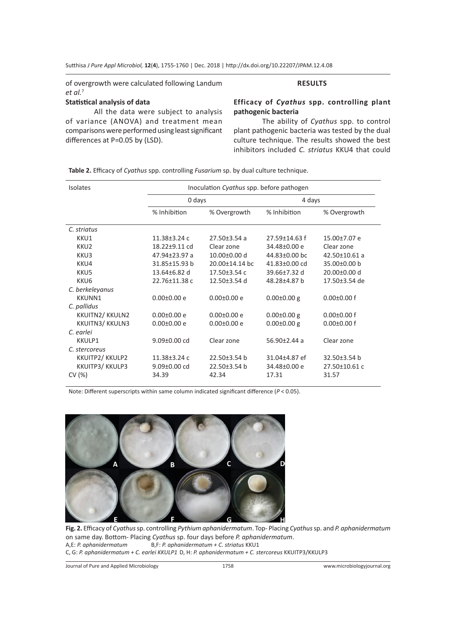of overgrowth were calculated following Landum *et al.*<sup>7</sup>

#### **Statistical analysis of data**

All the data were subject to analysis of variance (ANOVA) and treatment mean comparisons were performed using least significant differences at P=0.05 by (LSD).

# **RESULTS**

# **Efficacy of** *Cyathus* **spp. controlling plant pathogenic bacteria**

The ability of *Cyathus* spp. to control plant pathogenic bacteria was tested by the dual culture technique. The results showed the best inhibitors included *C. striatus* KKU4 that could

**Table 2.** Efficacy of *Cyathus* spp. controlling *Fusarium* sp. by dual culture technique.

| <b>Isolates</b>  | Inoculation Cyathus spp. before pathogen |                      |                    |                     |  |
|------------------|------------------------------------------|----------------------|--------------------|---------------------|--|
|                  | 0 days                                   |                      | 4 days             |                     |  |
|                  | % Inhibition                             | % Overgrowth         | % Inhibition       | % Overgrowth        |  |
| C. striatus      |                                          |                      |                    |                     |  |
| KKU1             | $11.38 \pm 3.24$ c                       | $27.50 \pm 3.54$ a   | 27.59±14.63 f      | 15.00±7.07 e        |  |
| KKU <sub>2</sub> | 18.22±9.11 cd                            | Clear zone           | 34.48±0.00 e       | Clear zone          |  |
| KKU3             | 47.94±23.97 a                            | $10.00\pm0.00$ d     | 44.83±0.00 bc      | $42.50 \pm 10.61$ a |  |
| KKU4             | 31.85±15.93 b                            | $20.00 \pm 14.14$ bc | 41.83±0.00 cd      | 35.00±0.00 b        |  |
| KKU5             | $13.64 \pm 6.82$ d                       | $17.50 \pm 3.54$ c   | 39.66 $±7.32$ d    | $20.00 \pm 0.00$ d  |  |
| KKU6             | 22.76±11.38 c                            | $12.50\pm3.54$ d     | 48.28±4.87 b       | 17.50±3.54 de       |  |
| C. berkeleyanus  |                                          |                      |                    |                     |  |
| <b>KKUNN1</b>    | $0.00 \pm 0.00 e$                        | $0.00 \pm 0.00 e$    | $0.00 \pm 0.00$ g  | $0.00 \pm 0.00$ f   |  |
| C. pallidus      |                                          |                      |                    |                     |  |
| KKUITN2/KKULN2   | $0.00 \pm 0.00 e$                        | $0.00 \pm 0.00 e$    | $0.00 \pm 0.00$ g  | $0.00 \pm 0.00$ f   |  |
| KKUITN3/KKULN3   | $0.00 \pm 0.00 e$                        | $0.00 \pm 0.00 e$    | $0.00 \pm 0.00$ g  | $0.00 \pm 0.00$ f   |  |
| C. earlei        |                                          |                      |                    |                     |  |
| KKULP1           | $9.09 \pm 0.00$ cd                       | Clear zone           | $56.90 \pm 2.44$ a | Clear zone          |  |
| C. stercoreus    |                                          |                      |                    |                     |  |
| KKUITP2/KKULP2   | $11.38 \pm 3.24$ c                       | 22.50±3.54 b         | 31.04±4.87 ef      | 32.50±3.54 b        |  |
| KKUITP3/KKULP3   | $9.09 \pm 0.00$ cd                       | 22.50±3.54 b         | 34.48±0.00 e       | 27.50±10.61 c       |  |
| CV(%)            | 34.39                                    | 42.34                | 17.31              | 31.57               |  |

Note: Different superscripts within same column indicated significant difference (*P* < 0.05).



**Fig. 2.** Efficacy of *Cyathus* sp. controlling *Pythium aphanidermatum*. Top- Placing *Cyathus* sp. and *P. aphanidermatum* on same day. Bottom- Placing *Cyathus* sp. four days before *P. aphanidermatum*. A,E: *P. aphanidermatum* B,F: *P. aphanidermatum + C. striatus* KKU1 C, G: *P. aphanidermatum + C. earlei KKULP1* D, H: *P. aphanidermatum + C. stercoreus* KKUITP3/KKULP3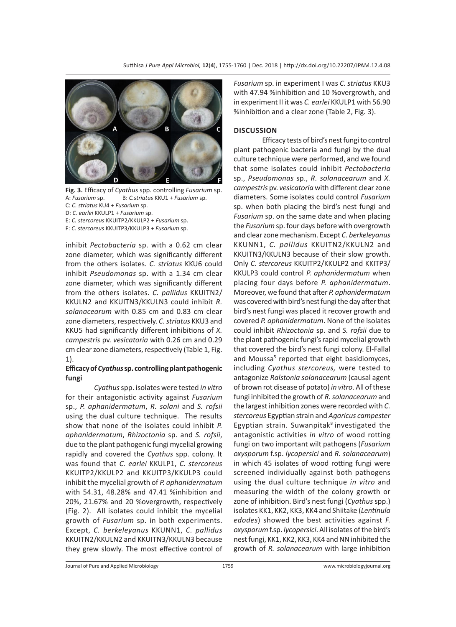

**Fig. 3.** Efficacy of *Cyathus* spp. controlling *Fusarium* sp. A: *Fusarium* sp. B: *C.striatus* KKU1 + *Fusarium* sp. C: *C. striatus* KU4 + *Fusarium* sp. D: *C. earlei* KKULP1 + *Fusarium* sp.

E: *C. stercoreus* KKUITP2/KKULP2 + *Fusarium* sp. F: *C. stercoreus* KKUITP3/KKULP3 + *Fusarium* sp.

inhibit *Pectobacteria* sp. with a 0.62 cm clear zone diameter, which was significantly different from the others isolates. *C. striatus* KKU6 could inhibit *Pseudomonas* sp. with a 1.34 cm clear zone diameter, which was significantly different from the others isolates. *C. pallidus* KKUITN2/ KKULN2 and KKUITN3/KKULN3 could inhibit *R. solanacearum* with 0.85 cm and 0.83 cm clear zone diameters, respectively. *C. striatus* KKU3 and KKU5 had significantly different inhibitions of *X. campestris* pv. *vesicatoria* with 0.26 cm and 0.29 cm clear zone diameters, respectively (Table 1, Fig. 1).

#### **Efficacy of** *Cyathus* **sp. controlling plant pathogenic fungi**

*Cyathus* spp. isolates were tested *in vitro* for their antagonistic activity against *Fusarium* sp., *P. aphanidermatum*, *R. solani* and *S. rofsii* using the dual culture technique. The results show that none of the isolates could inhibit *P. aphanidermatum*, *Rhizoctonia* sp. and *S. rofsii*, due to the plant pathogenic fungi mycelial growing rapidly and covered the *Cyathus* spp. colony. It was found that *C. earlei* KKULP1, *C. stercoreus* KKUITP2/KKULP2 and KKUITP3/KKULP3 could inhibit the mycelial growth of *P. aphanidermatum* with 54.31, 48.28% and 47.41 %inhibition and 20%, 21.67% and 20 %overgrowth, respectively (Fig. 2). All isolates could inhibit the mycelial growth of *Fusarium* sp. in both experiments. Except, *C. berkeleyanus* KKUNN1, *C. pallidus* KKUITN2/KKULN2 and KKUITN3/KKULN3 because they grew slowly. The most effective control of *Fusarium* sp. in experiment I was *C. striatus* KKU3 with 47.94 %inhibition and 10 %overgrowth, and in experiment II it was *C. earlei* KKULP1 with 56.90 %inhibition and a clear zone (Table 2, Fig. 3).

## **DISCUSSION**

Efficacy tests of bird's nest fungi to control plant pathogenic bacteria and fungi by the dual culture technique were performed, and we found that some isolates could inhibit *Pectobacteria* sp., *Pseudomonas* sp., *R. solanacearum* and *X. campestris* pv. *vesicatoria* with different clear zone diameters. Some isolates could control *Fusarium* sp. when both placing the bird's nest fungi and *Fusarium* sp. on the same date and when placing the *Fusarium* sp. four days before with overgrowth and clear zone mechanism. Except *C. berkeleyanus* KKUNN1, *C. pallidus* KKUITN2/KKULN2 and KKUITN3/KKULN3 because of their slow growth. Only *C. stercoreus* KKUITP2/KKULP2 and KKITP3/ KKULP3 could control *P. aphanidermatum* when placing four days before *P. aphanidermatum*. Moreover, we found that after *P. aphanidermatum* was covered with bird's nest fungi the day after that bird's nest fungi was placed it recover growth and covered *P. aphanidermatum*. None of the isolates could inhibit *Rhizoctonia* sp. and *S. rofsii* due to the plant pathogenic fungi's rapid mycelial growth that covered the bird's nest fungi colony. El-Fallal and Moussa<sup>5</sup> reported that eight basidiomyces, including *Cyathus stercoreus,* were tested to antagonize *Ralstonia solanacearum* (causal agent of brown rot disease of potato) *in vitro*. All of these fungi inhibited the growth of *R. solanacearum* and the largest inhibition zones were recorded with *C. stercoreus* Egyptian strain and *Agaricus campester* Egyptian strain. Suwanpitak $8$  investigated the antagonistic activities *in vitro* of wood rotting fungi on two important wilt pathogens (*Fusarium oxysporum* f.sp. *lycopersici* and *R. solanacearum*) in which 45 isolates of wood rotting fungi were screened individually against both pathogens using the dual culture technique *in vitro* and measuring the width of the colony growth or zone of inhibition. Bird's nest fungi (*Cyathus* spp.) isolates KK1, KK2, KK3, KK4 and Shiitake (*Lentinula edodes*) showed the best activities against *F. oxysporum* f.sp. *lycopersici*. All isolates of the bird's nest fungi, KK1, KK2, KK3, KK4 and NN inhibited the growth of *R. solanacearum* with large inhibition

Journal of Pure and Applied Microbiology